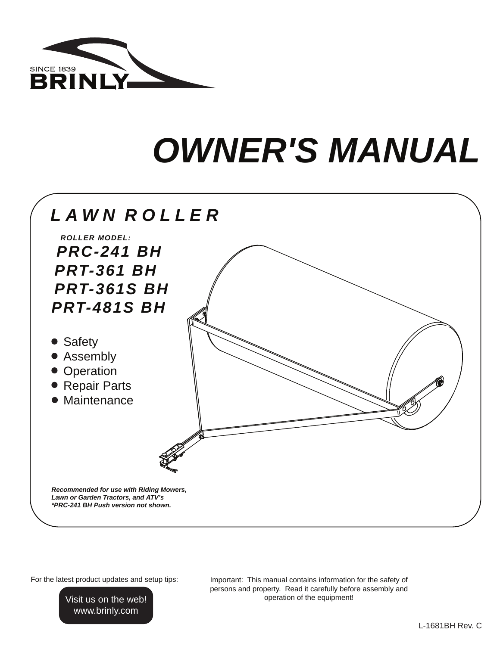

# **OWNER'S MANUAL**



For the latest product updates and setup tips:

Visit us on the web! www.brinly.com

Important: This manual contains information for the safety of persons and property. Read it carefully before assembly and operation of the equipment!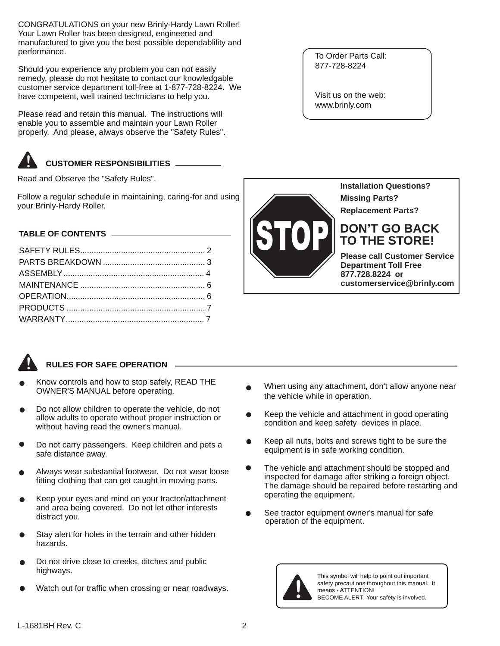CONGRATULATIONS on your new Brinly-Hardy Lawn Roller! Your Lawn Roller has been designed, engineered and manufactured to give you the best possible dependablility and performance.

Should you experience any problem you can not easily remedy, please do not hesitate to contact our knowledgable customer service department toll-free at 1-877-728-8224. We have competent, well trained technicians to help you.

Please read and retain this manual. The instructions will enable you to assemble and maintain your Lawn Roller properly. And please, always observe the "Safety Rules".

#### **CUSTOMER RESPONSIBILITIES !**

Read and Observe the "Safety Rules".

Follow a regular schedule in maintaining, caring-for and using your Brinly-Hardy Roller.

## **TABLE OF CONTENTS**

**!**

# **RULES FOR SAFE OPERATION**

- Know controls and how to stop safely, READ THE OWNER'S MANUAL before operating.
- Do not allow children to operate the vehicle, do not allow adults to operate without proper instruction or without having read the owner's manual.
- Do not carry passengers. Keep children and pets a safe distance away.
- Always wear substantial footwear. Do not wear loose fitting clothing that can get caught in moving parts.
- Keep your eyes and mind on your tractor/attachment and area being covered. Do not let other interests distract you.
- Stay alert for holes in the terrain and other hidden hazards.
- Do not drive close to creeks, ditches and public highways.
- Watch out for traffic when crossing or near roadways.

To Order Parts Call: 877-728-8224

Visit us on the web: www.brinly.com



**877.728.8224 or customerservice@brinly.com**

- When using any attachment, don't allow anyone near the vehicle while in operation.
- Keep the vehicle and attachment in good operating condition and keep safety devices in place.
- Keep all nuts, bolts and screws tight to be sure the equipment is in safe working condition.
- The vehicle and attachment should be stopped and inspected for damage after striking a foreign object. The damage should be repaired before restarting and operating the equipment.
- See tractor equipment owner's manual for safe operation of the equipment.



This symbol will help to point out important safety precautions throughout this manual. It means - ATTENTION! BECOME ALERT! Your safety is involved.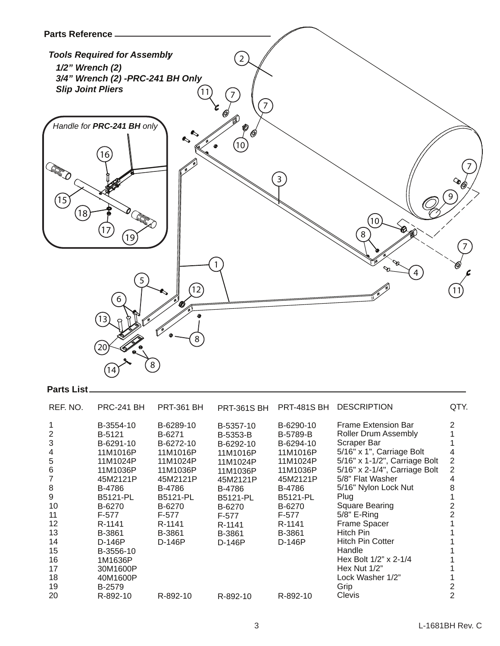

## **Parts List**

| REF. NO.                                | <b>PRC-241 BH</b>                                                                          | <b>PRT-361 BH</b>                                                                          | <b>PRT-361S BH</b>                                                                           | <b>PRT-481S BH</b>                                                                           | <b>DESCRIPTION</b>                                                                                                                                                                                                  | QTY.                       |
|-----------------------------------------|--------------------------------------------------------------------------------------------|--------------------------------------------------------------------------------------------|----------------------------------------------------------------------------------------------|----------------------------------------------------------------------------------------------|---------------------------------------------------------------------------------------------------------------------------------------------------------------------------------------------------------------------|----------------------------|
| $\overline{2}$<br>3<br>4<br>5<br>6<br>8 | B-3554-10<br>B-5121<br>B-6291-10<br>11M1016P<br>11M1024P<br>11M1036P<br>45M2121P<br>B-4786 | B-6289-10<br>B-6271<br>B-6272-10<br>11M1016P<br>11M1024P<br>11M1036P<br>45M2121P<br>B-4786 | B-5357-10<br>B-5353-B<br>B-6292-10<br>11M1016P<br>11M1024P<br>11M1036P<br>45M2121P<br>B-4786 | B-6290-10<br>B-5789-B<br>B-6294-10<br>11M1016P<br>11M1024P<br>11M1036P<br>45M2121P<br>B-4786 | <b>Frame Extension Bar</b><br><b>Roller Drum Assembly</b><br>Scraper Bar<br>5/16" x 1", Carriage Bolt<br>5/16" x 1-1/2", Carriage Bolt<br>5/16" x 2-1/4", Carriage Bolt<br>5/8" Flat Washer<br>5/16" Nylon Lock Nut | 2<br>4<br>2<br>2<br>4<br>8 |
| 9                                       | <b>B5121-PL</b>                                                                            | <b>B5121-PL</b>                                                                            | <b>B5121-PL</b>                                                                              | <b>B5121-PL</b>                                                                              | Plug                                                                                                                                                                                                                |                            |
| 10                                      | B-6270                                                                                     | B-6270                                                                                     | B-6270                                                                                       | B-6270                                                                                       | Square Bearing                                                                                                                                                                                                      |                            |
| 11                                      | F-577                                                                                      | F-577                                                                                      | F-577                                                                                        | F-577                                                                                        | $5/8"$ E-Ring                                                                                                                                                                                                       |                            |
| 12                                      | R-1141                                                                                     | R-1141                                                                                     | R-1141                                                                                       | R-1141                                                                                       | <b>Frame Spacer</b>                                                                                                                                                                                                 |                            |
| 13                                      | B-3861                                                                                     | B-3861                                                                                     | B-3861                                                                                       | B-3861                                                                                       | Hitch Pin                                                                                                                                                                                                           |                            |
| 14                                      | D-146P                                                                                     | D-146P                                                                                     | D-146P                                                                                       | $D-146P$                                                                                     | <b>Hitch Pin Cotter</b>                                                                                                                                                                                             |                            |
| 15                                      | B-3556-10                                                                                  |                                                                                            |                                                                                              |                                                                                              | Handle                                                                                                                                                                                                              |                            |
| 16                                      | 1M1636P                                                                                    |                                                                                            |                                                                                              |                                                                                              | Hex Bolt $1/2$ " x 2-1/4                                                                                                                                                                                            |                            |
| 17                                      | 30M1600P                                                                                   |                                                                                            |                                                                                              |                                                                                              | Hex Nut 1/2"                                                                                                                                                                                                        |                            |
| 18                                      | 40M1600P                                                                                   |                                                                                            |                                                                                              |                                                                                              | Lock Washer 1/2"                                                                                                                                                                                                    |                            |
| 19                                      | B-2579                                                                                     |                                                                                            |                                                                                              |                                                                                              | Grip                                                                                                                                                                                                                |                            |
| 20                                      | R-892-10                                                                                   | R-892-10                                                                                   | R-892-10                                                                                     | R-892-10                                                                                     | Clevis                                                                                                                                                                                                              | 2                          |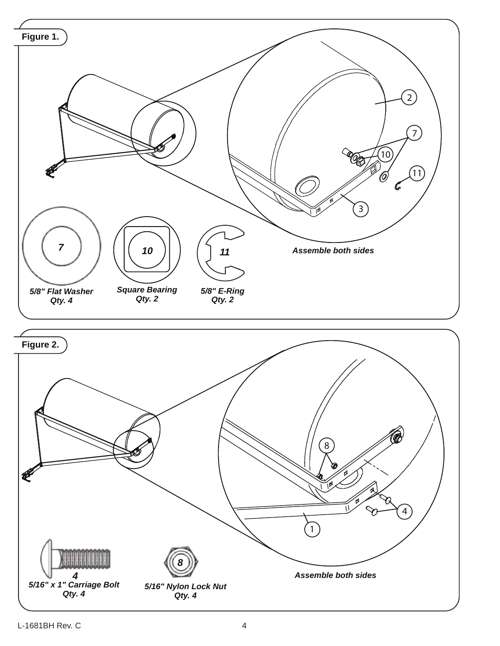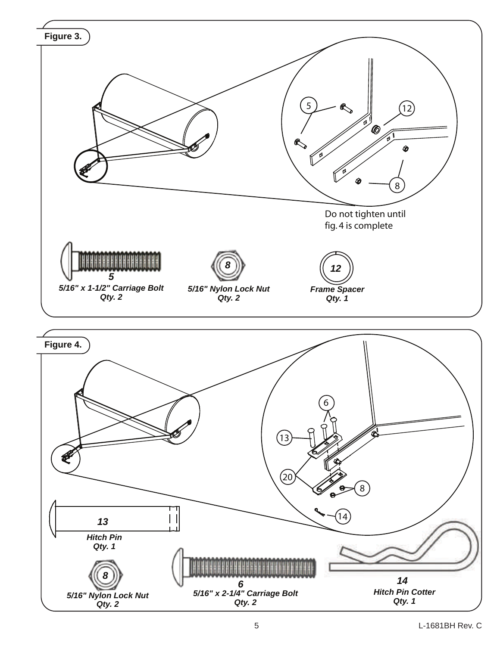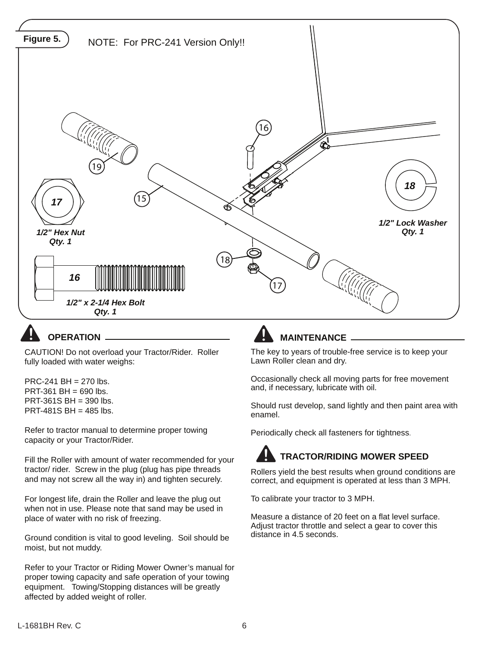

# **OPERATION**.

CAUTION! Do not overload your Tractor/Rider. Roller fully loaded with water weighs:

PRC-241 BH = 270 lbs.  $PRT-361 BH = 690$  lbs.  $PRT-361S BH = 390$  lbs. PRT-481S BH =  $485$  lbs.

Refer to tractor manual to determine proper towing capacity or your Tractor/Rider.

Fill the Roller with amount of water recommended for your tractor/ rider. Screw in the plug (plug has pipe threads and may not screw all the way in) and tighten securely.

For longest life, drain the Roller and leave the plug out when not in use. Please note that sand may be used in place of water with no risk of freezing.

Ground condition is vital to good leveling. Soil should be moist, but not muddy.

Refer to your Tractor or Riding Mower Owner's manual for proper towing capacity and safe operation of your towing equipment. Towing/Stopping distances will be greatly affected by added weight of roller.

# **MAINTENANCE**

The key to years of trouble-free service is to keep your Lawn Roller clean and dry.

Occasionally check all moving parts for free movement and, if necessary, lubricate with oil.

Should rust develop, sand lightly and then paint area with enamel.

Periodically check all fasteners for tightness.

#### **! TRACTOR/RIDING MOWER SPEED**

Rollers yield the best results when ground conditions are correct, and equipment is operated at less than 3 MPH.

To calibrate your tractor to 3 MPH.

Measure a distance of 20 feet on a flat level surface. Adjust tractor throttle and select a gear to cover this distance in 4.5 seconds.